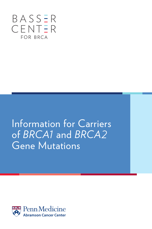

Information for Carriers of *BRCA1* and *BRCA2* Gene Mutations

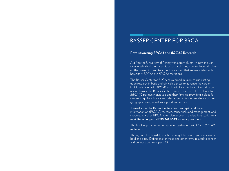# BASSER CENTER FOR BRCA

## **Revolutionizing** *BRCA1* **and** *BRCA2* **Research**.

A gift to the University of Pennsylvania from alumni Mindy and Jon Gray established the Basser Center for BRCA, a center focused solely on the prevention and treatment of cancers that are associated with hereditary *BRCA1* and *BRCA2* mutations.

The Basser Center for BRCA has a broad mission: to use cutting edge research in basic and clinical sciences to advance the care of individuals living with *BRCA1* and *BRCA2* mutations. Alongside our research work, the Basser Center serves as a center of excellence for *BRCA1/2* positive individuals and their families, providing a place for carriers to go for clinical care, referrals to centers of excellence in their geographic area, as well as support and advice.

To read about the Basser Center's team and gain additional information on *BRCA1/2* research, cancer risks and management, and support, as well as BRCA news, Basser events, and patient stories visit us at **Basser.org** or call **215.349.9093** for an appointment.

This booklet provides information for carriers of *BRCA1* and *BRCA2* mutations.

Throughout this booklet, words that might be new to you are shown in bold and blue. Definitions for these and other terms related to cancer and genetics begin on page 32.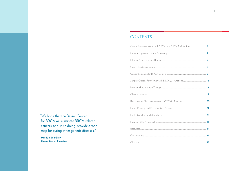## CONTENTS

"We hope that the Basser Center for BRCA will eliminate BRCA-related cancers and, in so doing, provide a road map for curing other genetic diseases."

Mindy & Jon Gray, **Basser Center Founders**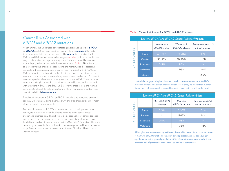## Cancer Risks Associated with *BRCA1* and *BRCA2* mutations

When an individual undergoes genetic testing and receives a positive *BRCA1* or *BRCA2* result, this means that they have an inherited **mutation** that puts them at increased risk for certain cancers. The **cancer** risks associated with *BRCA1* and *BRCA2* are presented as ranges (see Table 1), since cancer risk may vary in different families or population groups. Some studies and laboratories report slightly higher or lower risks than summarized in Table 1. This is because as more individuals undergo genetic testing and more studies that assess risk are published, our understanding of cancer risk in individuals with *BRCA1* and *BRCA2* mutations continues to evolve. For these reasons, risk estimates may vary from one source to the next and may vary as research advances. At present, we cannot predict where in the risk range any individual will fall. There are other genetic and lifestyle factors that can influence or modify cancer risk associated with mutations in *BRCA1* and *BRCA2*. Discovering these factors and refining our understanding of the risks associated with them may help us provide a more accurate individual **risk assessment**.

People with mutations in *BRCA1* or *BRCA2* may develop none, one, or several cancers. Unfortunately, being diagnosed with one type of cancer does not mean other cancer risks no longer apply.

For example, women with BRCA mutations who have developed one breast cancer, are at increased risk of developing a second breast cancer as well as ovarian and other cancers. The risk to develop a second breast cancer depends on a person's age at diagnosis of the first breast cancer, type of breast cancer, family history and whether a person has a *BRCA1* or *BRCA2* mutation. Therefore, depending on these risk factors, the risk of developing a second breast cancer can range from less than 20% to 50% over one's lifetime. This should be discussed with your doctor.

### Table 1: Cancer Risk Ranges for *BRCA1* and *BRCA2* carriers

| Lifetime BRCA1 and BRCA2 Cancer Risks for Women |               |                                     |                                     |                                         |
|-------------------------------------------------|---------------|-------------------------------------|-------------------------------------|-----------------------------------------|
| TYPE OF CANCER                                  |               | Woman with<br><b>BRCA1</b> Mutation | Woman with<br><b>BRCA2</b> mutation | Average woman in US<br>without mutation |
|                                                 | <b>Breast</b> | 60-80%                              | 50-70%                              | 13%                                     |
|                                                 | Ovarian       | $30 - 45%$                          | 10-20%                              | $1 - 2%$                                |
|                                                 | Pancreatic    | $2 - \overline{3}\%$                | $3 - 5%$                            | $1\%$                                   |
|                                                 | Melanoma      |                                     | $3 - 5%$                            | $1 - 2%$                                |
|                                                 | Uterine       |                                     |                                     | $2 - 3%$                                |

<sup>1</sup> Limited data suggest a higher chance to develop serous uterine cancer in *BRCA1* mutation carriers. The overall chances are still low but may be higher than average risk women. More research is needed before this association is fully understood.

| Lifetime BRCA1 and BRCA2 Cancer Risks for Men |               |                            |                                   |                                       |
|-----------------------------------------------|---------------|----------------------------|-----------------------------------|---------------------------------------|
| $\alpha$<br>CANCEF<br>TYPE                    |               | Man with BRCA1<br>Mutation | Man with<br><b>BRCA2</b> mutation | Average man in US<br>without mutation |
|                                               | <b>Breast</b> | $1 - 5%$                   | $5 - 10%$                         | 0.1%                                  |
|                                               | Prostate      | 2                          | 15-25%                            | 16%                                   |
|                                               | Pancreatic    | $2 - 3%$                   | $3 - 5%$                          | $1\%$                                 |
|                                               | Melanoma      |                            | $3 - 5%$                          | $1 - 2%$                              |

<sup>2</sup> Although there is no convincing evidence of overall increased risk of prostate cancer in men with *BRCA1* mutations, they may develop prostate cancer at a younger age than men in the general population. *BRCA2* mutations are associated with an increased risk of prostate cancer, which also can be of earlier onset.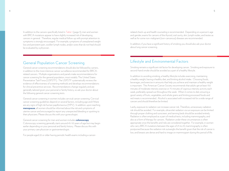In addition to the cancers specifically listed in Table 1 (page 3), men and women with BRCA mutations appear to have slightly increased risk of developing cancers in general. Therefore, regular medical follow-up with prompt attention to symptoms is strongly encouraged. For example, symptoms of unexplained weight loss and persistent pain, swollen lymph nodes, and/or sores that do not heal should be evaluated by a physician.

## General Population Cancer Screening

General cancer screening recommendations should also be followed by carriers, in addition to the more intensive cancer surveillance recommended for BRCArelated cancers. Multiple organizations and panels make recommendations for cancer screening for the general population, most notably The United States Preventative Task Force (USPSTF). The USPSTF systematically reviews the evidence of effectiveness of screening methods and develops recommendations for clinical preventive services. Recommendations change regularly and are generally tailored given your personal or family history, so ask your doctor about the following general cancer screening tests.

General cancer screening in women includes cervical cancer screening. Cervical cancer screening guidelines depend on several factors, including age and if there are any signs of high risk human papillomavirus (HPV). In addition, upon reaching **menopause**, all women should be informed about the risk and symptoms of uterine cancer and encouraged to report any unexpected bleeding or spotting to their physicians. Please discuss this with your gynecologist.

General cancer screening for men and women includes **colonoscopy**. Colonoscopy screening generally starts around 45-50 years of age but may begin earlier depending on your personal and family history. Please discuss this with your primary care physician or gastroenterologist.

For people aged 20 or older having periodic health exams including a cancer-

related check-up and health counseling is recommended. Depending on a person's age and gender, exams for cancers of the thyroid, oral cavity, skin, lymph nodes, and testes as well as for some non-malignant (non-cancerous) diseases are recommended.

In addition, if you have a significant history of smoking you should also ask your doctor about lung cancer screening.

## Lifestyle and Environmental Factors

Smoking remains a significant risk factor for developing cancer. Smoking and exposure to second-hand smoke should be avoided as a part of a healthy lifestyle.

In addition to avoiding smoking, a healthy lifestyle includes exercising, maintaining a healthy weight, having a healthy diet, and limiting alcohol intake. Choosing foods, beverages, and exercise in amounts that help you achieve and maintain a healthy weight is important. The American Cancer Society recommends that adults get at least 150 minutes of moderate intensity exercise or 75 minutes of vigorous intensity activity each week, preferably spread out throughout the week. When it comes to diet, ensuring a good variety of fruits, vegetables, and whole grains and limiting processed foods and red meats is recommended. Alcohol is associated with increased risk for a wide range of cancers and should therefore be limited.

Lastly, exposure to radiation can increase cancer risk. Therefore, unnecessary radiation risk should be avoided. For example, ultraviolet radiation via sun exposure can be limited through proper clothing and sunscreen, and tanning beds should be avoided entirely. Radiation is often employed as a part of medical tests, including mammography, and also as a form of therapy for cancers. Radiation under these circumstances is often appropriate once the benefits and risks are considered together. For example, in women who carry BRCA mutations between the ages of 25 to 29, mammography is often postponed because the radiation risk outweighs the benefit given that the risk of cancer is low, and breasts are dense and hard to image on mammogram during this period of life.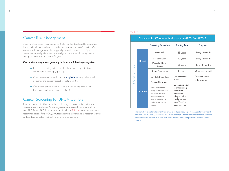## Cancer Risk Management

A personalized cancer risk management plan can be developed for individuals known to be at increased cancer risk due to a mutation in *BRCA1* or *BRCA2*. A cancer risk management plan is typically tailored to a person's unique circumstances and preferences. You and your doctors will ultimately decide what plan makes the most sense for you.

#### **Cancer risk management generally includes the following categories:**

- $\bullet$  Intensive screening to increase the chances of early detection, should cancer develop (pp. 6-11).
- Consideration of risk-reducing, or **prophylactic**, surgical removal of ovaries and possibly breast tissue (pp. 12-18).
- Chemoprevention, which is taking a medicine shown to lower the risk of developing cancer (pp. 19-20).

## Cancer Screening for BRCA Carriers

Generally, cancer that is detected at earlier stages is more easily treated, and outcomes are often better. Screening recommendations for women and men with *BRCA1* and *BRCA2* mutations are detailed in Table 2. Note that screening recommendations for *BRCA1/2* mutation carriers may change as research evolves and we develop better methods for detecting cancer early.

#### Table 2:

|                | Screening for Women with Mutations in BRCA1 or BRCA2 |                                                                                                                                                             |                                                                                                                                         |                                 |  |
|----------------|------------------------------------------------------|-------------------------------------------------------------------------------------------------------------------------------------------------------------|-----------------------------------------------------------------------------------------------------------------------------------------|---------------------------------|--|
| TYPE OF CANCER |                                                      | <b>Screening Procedure</b>                                                                                                                                  | <b>Starting Age</b>                                                                                                                     | Frequency                       |  |
|                | <b>Breast</b>                                        | <b>Breast MRI</b>                                                                                                                                           | 25 years                                                                                                                                | Every 12 months                 |  |
|                |                                                      | Mammogram                                                                                                                                                   | 30 years                                                                                                                                | Every 12 months                 |  |
|                |                                                      | Physician Breast<br>Exams                                                                                                                                   | 25 years                                                                                                                                | Every 6 months                  |  |
|                |                                                      | Breast Awareness <sup>1</sup>                                                                                                                               | 18 years                                                                                                                                | Once every month                |  |
|                |                                                      | CA-125 Blood Test<br>Ovarian Ultrasound                                                                                                                     | Consider at age<br>$30 - 35$                                                                                                            | Consider every<br>$6-12$ months |  |
|                | Ovarian                                              | Note: There is not a<br>strong recommendation<br>for these screenings<br>because they have not<br>been proven effective<br>at diagnosing ovarian<br>cancer. | Upon completion<br>of childbearing,<br>removal of<br>ovaries and<br>fallopian tubes<br>ideally between<br>ages 35-40 is<br>recommended. |                                 |  |

<sup>1</sup> Women should be familiar with their breasts and promptly report changes to their health care provider. Periodic, consistent breast self-exam (BSE) may facilitate breast awareness. Premenopausal women may find BSE most informative when performed at the end of menses.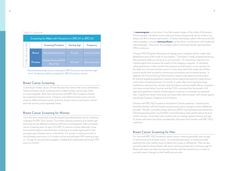#### Table 2 Continued:

| Screening for Men with Mutations in BRCA1 or BRCA2 |               |                                            |                         |                 |
|----------------------------------------------------|---------------|--------------------------------------------|-------------------------|-----------------|
| ШI                                                 |               | <b>Screening Procedure</b>                 | <b>Starting Age</b>     | Frequency       |
| CANCI<br>Щ<br><b>TYPE</b>                          | <b>Breast</b> | <b>Physician Breast Exams</b>              | 35 years                | Every 12 months |
|                                                    | Prostate      | Prostate Exam and PSA<br><b>Blood Test</b> | $40$ years <sup>2</sup> | Once every year |

<sup>2</sup> Recommend prostate cancer screening for *BRCA2* carriers start between ages 40-45. Screening could be considered for *BRCA1* mutation carriers.

#### Breast Cancer Screening

Screening for breast cancer will not decrease the chance that cancer will develop. However, breast cancer screening aims to detect breast cancer early, when it is most treatable. Both men and women with *BRCA1/2* mutations should be screened for breast cancer. However, since lifetime breast cancer risk and anatomy differs between women and men, breast cancer screening for women and men are discussed separately below.

### Breast Cancer Screening for Women

Over the years, researchers have developed specialized breast cancer screening strategies for *BRCA1/2* carriers. This means starting screening at an earlier age and using several different screening methods more frequently. Intensive breast cancer screening starts at age 25 for BRCA-positive women; although, it may be recommended an individual start screening at an earlier age based on the youngest age of breast cancer in the family. For women, screening involves a clinical breast exam every 6-12 months and an annual breast MRI starting at age 25. At age 30, annual mammography is added and is alternated with breast MRI every six months.

A **mammogram** is a low-dose X-ray that creates images of the inside of the breasts. Mammography can detect some suspicious breast changes that are too small or too deep to be felt on breast examination. A newer technology, called 3-dimensional (3D) mammography, or breast **tomosynthesis**, can be done in combination with traditional mammography. How much this modality adds in individuals already getting breast MRIs is unknown.

A breast MRI (Magnetic Resonance Imaging) uses a magnetic field to create clear detailed pictures of the inside of your breasts. The breast is mildly compressed during the procedure while you are lying on your stomach. An intravenous injection of a contrast agent that increases the quality of the imaging is required. A substance called gadolinium is often used for this purpose and although it is very sensitive for the detection of invasive breast cancer, it is also associated with a high rate of false positive results that can lead to unnecessary procedures and increased anxiety. In addition, the Food and Drug Administration requires that patients and providers be warned regarding gadolinium-based contrast agents because the metal remains in the body, including the brain, for months or years, after receiving these drugs. Gadolinium retention has not been directly linked to adverse health effects in patients who have normal kidney function and the FDA concluded that the benefit of all approved gadolinium-based contrast agents continues to outweigh any potential risks. Gadolinium levels in the body are lowest after administration with certain agents, specifically Dotarem, Gadavist, and ProHance.

Women with *BRCA1/2* mutations should have "breast awareness," meaning they should be familiar with their breasts and promptly report changes to their healthcare provider. Periodic, consistent breast self-exam (BSE) may facilitate breast awareness. Premenopausal women may find BSE most informative when performed at the end of their menses. Given that many women will not undergo genetic testing until age 25, breast self-exam should be considered by all women from families with *BRCA1/2* mutations.

## Breast Cancer Screening for Men

For men with *BRCA1/2* mutations, breast cancer screening generally starts at age 35 with annual clinical breast exams. In a clinical breast exam, a medical provider examines the chest wall by touch to detect any lumps or differences. Men are also recommended to receive breast self-exam training and education starting at age 35. Breast self-exam can help men become familiar with their breast tissue in order to promptly report changes to their healthcare provider.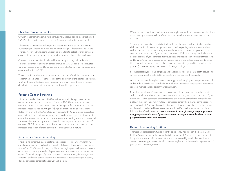### Ovarian Cancer Screening

Ovarian cancer screening involves a transvaginal ultrasound and a blood test called CA-125, which can be considered every 6-12 months starting between ages 30-35.

Ultrasound is an imaging technique that uses sound waves to create a picture. By inserting an ultrasound probe into a woman's vagina, doctors can look at the ovaries. However, transvaginal ultrasound often fails to detect ovarian cancer at an early stage and can detect changes in the ovaries that are not actually cancer.

CA-125 is a protein in the blood shed from damaged ovary cells and is often elevated in women with ovarian cancer. However, CA-125 can also be elevated for other reasons unrelated to cancer and many early stage ovarian cancers do not cause an elevated CA-125.

These available methods for ovarian cancer screening often fail to detect ovarian cancer at an early stage. Therefore, it is at the discretion of the doctor and woman whether these methods are used to screen for ovarian cancer before a woman decides to have surgery to remove her ovaries and fallopian tubes.

#### Prostate Cancer Screening

It is recommended that men with *BRCA2* mutations initiate prostate cancer screening between ages 40 and 45. Men with *BRCA1* mutations may also consider starting prostate cancer screening by age 45. Prostate cancer screening includes Prostate Specific Antigen (PSA) blood test and digital rectal exam (DRE). In men with BRCA mutations, in particular *BRCA2* mutations, prostate cancers tend to occur at a younger age and may be more aggressive than prostate cancer in men without mutations. Prostate cancer screening remains controversial for men in the general population, although screening may be more beneficial for men with BRCA mutations due to the increased risk of prostate cancer and the increased proportion of those cancers that are aggressive in nature.

## Pancreatic Cancer Screening

There are no consensus guidelines for pancreatic cancer screening, even in BRCA mutation carriers. Individuals with a strong family history of pancreatic cancer and a *BRCA1* or *BRCA2* mutation may consider screening for pancreatic cancer. The goal of pancreatic screening is to identify pancreatic cancer at earlier and more treatable stages. Although the goal of pancreatic cancer screening is early detection, there is currently very limited data to suggest that pancreatic cancer screening consistently detects pancreatic cancers at an early, treatable stage.

We recommend that if pancreatic cancer screening is pursued, it be done as a part of a clinical research study at a center with significant experience and expertise in pancreatic cancer screening.

Screening for pancreatic cancer is typically performed by upper endoscopic ultrasound or abdominal MRI. Upper endoscopic ultrasound involves placing an instrument called an endoscope down your throat while you are under sedation. The endoscope uses sound waves to produce images of your pancreas. Abdominal MRI uses a magnetic field to create detailed pictures of your pancreas. If any suspicious findings are seen on either of these tests, additional tests may be required. Screening can lead to invasive diagnostic procedures like biopsies which themselves increase the chance for pancreatitis (painful inflammation of the pancreas), or even a surgery that reveals only benign findings.

For these reasons, prior to undergoing pancreatic cancer screening, an in-depth discussion is advised to consider the potential benefits, risks and limitations of the procedures.

At the University of Pennsylvania, our screening protocols employ endoscopic ultrasound. In addition, there may be clinical trials of new methods of pancreatic cancer screening that you can learn more about as a part of your consultation.

Note that clinical trials of pancreatic cancer screening do not generally cover the cost of endoscopic ultrasound or imaging, which are billed to you or your insurance as a part of your clinical care. While pancreatic cancer screening is considered primarily for individuals with a BRCA mutation and a family history of pancreatic cancer, there may be some options for individuals with BRCA mutations without a family history of pancreatic cancer. For current studies and more detailed information, please visit the Pancreatic Cancer section of the following Penn Medicine website: **www.pennmedicine.org/cancer/navigating-cancercare/programs-and-centers/gastrointestinal-cancer-genetics-and-risk-evaluationprogram/clinical-trials-and-research**.

### Research Screening Options

There are multiple research studies currently being conducted through the Basser Center for BRCA aimed at finding better methods for detecting BRCA-related cancers early. It is hoped these studies will find even better ways to manage high-risk individuals. Current cancer screening opportunities for which you are eligible will be discussed with you as part of your genetic counseling sessions.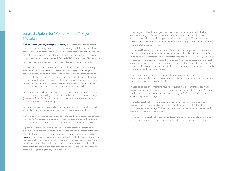## Surgical Options for Women with *BRCA1/2* Mutations

**Risk-reducing (prophylactic) mastectomy** is the removal of healthy breast tissue. It is the most aggressive and effective strategy available to reduce breast cancer risk. Some women with *BRCA1/2* mutations choose this option. We and others have completed studies showing this procedure lowers breast cancer risk by at least 90 percent in women with *BRCA1* and *BRCA2* mutations. The estimated risk of developing a breast cancer after risk-reducing mastectomy is 1-2%.

However, breast cancer screening is a reasonable alternative to risk-reducing mastectomy. Screening for breast cancer is usually effective in finding breast cancer at an early stage, particularly when MRI is used as one of the screening components. Some types of breast cancer, even if found at an early stage, may still require chemotherapy. This may impact the decisions of some women regarding risk-reducing mastectomy. Increased breast cancer screening can also be used in combination with medications shown to reduce breast cancer risk.

Reviewing a person's breast cancer risk by age or decade with a genetic counselor can be helpful in determining when to consider the option of prophylactic surgery (see Graphs 1 and 2). Surgery is a very personal decision and we recommend women fully investigate all their options.

For women considering a prophylactic mastectomy, it is often helpful to consult with a plastic surgeon to learn about options for breast reconstruction.

Options for breast reconstruction include implant and tissue-based reconstruction. It is important to discuss your options with your surgeon, including the pros and cons of different types of surgery, recovery time, and potential risks of surgery.

Implant-based reconstruction is a one- or two-step procedure that takes place over two to sixth months. In some situations, implants can be placed at the time of mastectomy in a one-step procedure. In two-step reconstruction, a **tissue expander**, which is a balloon device, is placed underneath the skin and muscles of the chest wall. Then, over a period of several months, the expanders are inflated in the office to stretch the muscles and tissue to accommodate the implants. In the second step, the tissue expander is replaced with an implant. Recovery time from these two surgeries is generally two to four weeks.

In autologous or free "flap" surgery, the breast is reconstructed from an individual's own tissue, using skin, fat, and occasionally muscle from another part of the body, often the lower abdomen. This is performed in a single surgery. The hospital stay and recovery time are longer than for implant reconstruction surgery, with a recovery time of approximately six to eight weeks.

Implant and free-flap options also have different potential complications. For example, implants are not permanent and require maintenance. All implants have a concern for "rupture" and it is recommended that implants be replaced every 10-15 years, on average. In addition, there is a risk of infection, hardened scar tissue (called capsular contracture), and a rare implant-associated lymphoma (mostly with textured implants). For free flap surgery, major potential risks are complications of the abdomen including scar and hernia. There is also a risk that the tissue fails.

Given these complexities, we encourage all women considering risk-reducing mastectomy to gather detailed information from their plastic surgeons and take the time they need to make a thoughtful decision.

In addition to deciding whether to have risk-reducing mastectomy, individuals must consider the timing of such procedures in terms of age and breast cancer risk. Although the lifetime risk for breast and ovarian cancer are high in *BRCA1* and *BRCA2* mutation carriers, they vary across ages.

The below graphs of breast and ovarian cancer risk by age are from a large study that combined patients from multiple institutions (Kuchenbaecker et al. 2017 in JAMA). The risks presented are up to age 80. Like the cancer risks cited earlier in the booklet, the risks below may differ from other sources.

Nonetheless, the graphs of cancer risk by decade are helpful for understanding the trends in cancer risk over a lifetime and may help inform decisions about the timing of surgeries.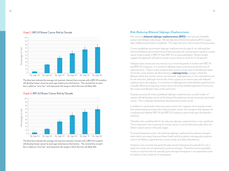

#### *Graph 1: BRCA1* Breast Cancer Risk by Decade

The blue bars indicate the average risk (percent chance) that a woman with a *BRCA1* mutation will develop breast cancer by each age noted across the bottom. The vertical line on each bar is called an "error bar" and represents the range in which the true risk likely falls.

#### *Graph 2: BRCA2* Breast Cancer Risk by Decade



The blue bars indicate the average risk (percent chance) a woman with a *BRCA2* mutation will develop breast cancer by each age noted across the bottom. The vertical line on each bar is called an "error bar" and represents the range in which the true risk likely falls.

### *Risk-Reducing Bilateral Salpingo-Oophorectomy*

Risk-reducing **bilateral salpingo-oophorectomy (BSO)** is the removal of healthy ovarian and fallopian tube tissue. We strongly recommend risk reducing BSO surgery after childbearing has been completed. The major decision is the timing of the procedure.

Current guidelines recommend salpingo-oophorectomy by age 35-40, although the recommendations around the timing of this procedure do vary because in general, ovarian cancer onset is earlier in *BRCA1* than *BRCA2,* as discussed below. Recent studies suggest this approach will reduce ovarian cancer risk by as much as 70-90 percent.

Fallopian tube cancers are very rare but occur more frequently in women with *BRCA1* and *BRCA2* mutations. It is routine for fallopian tubes to be removed at the time of oophorectomy. There is some evidence that ovarian cancers start in the fallopian tubes. Given this, some women ask about having a **salpingectomy**, a surgery where the fallopian tubes, but not the ovaries, are removed. Salpingectomy is not a standard of care for risk reduction, although clinical trials of this surgery as an interim step with delayed oophorectomy are ongoing. It is not known if salpingectomy with delayed oophorectomy is equally effective at reducing ovarian cancer risk as the standard approach of removing the ovaries and fallopian tubes at the same time.

Despite pursuing risk-reducing bilateral salpingo-oophorectomy, a small number of women will still develop cancer of the lining of the abdomen, known as primary peritoneal cancer. This is a disease that behaves like advanced ovarian cancer.

In addition to significantly reducing ovarian cancer risk, it appears removing the ovaries from premenopausal women also reduces breast cancer risk, though to what degree risk is reduced and whether *BRCA1* and *BRCA2* mutation carriers both gain this benefit is unknown.

Therefore, the overall benefit of risk-reducing salpingo-oophorectomy is very significant. This is important since screening for ovarian cancer is very limited and usually does not detect ovarian cancer in the early stages.

For premenopausal women, risk-reducing salpingo-oophorectomy reduces estrogen levels which can impact bone and heart health and bring about menopausal symptoms such as hot flashes, vaginal dryness, mood swings, and sleep disturbances.

However, once a woman has gone through natural menopause (no periods for over a year), her ovaries are not expected to produce estrogen. Therefore, removing healthy ovaries in a woman who has naturally gone through menopause is not expected to have an impact on her symptoms of menopause.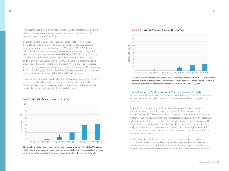The potential side effects of risk-reducing salpingo-oophorectomy are detailed in later sections on hormone replacement therapy in premenopausal and postmenopausal women (pp.18-19).

In deciding on the timing of risk-reducing salpingo-opphorectomy, it can be helpful to consider how the risk of ovarian cancer varies across ages and depending on whether a woman carries a *BRCA1* and *BRCA2* mutation. The risk of ovarian cancer and the average age at the time a woman is diagnosed with ovarian cancer does differ between *BRCA1* and *BRCA2* mutation carriers. Ovarian cancer risk becomes more significant for women in their 40s, 50s, and beyond. Even in women with *BRCA1/2* mutations, it is uncommon to be diagnosed with ovarian cancer before the age of 40. It is important to discuss these issues with your providers and how they relate to the timing of risk-reducing BSO. The below graphs (Graph 3 and Graph 4) provide information on ovarian cancer risk by age for carriers of *BRCA1* and *BRCA2* mutations.

As noted earlier, the below graphs of ovarian cancer risk by age are from a large study that combined patients from multiple institutions (Kuchenbaecker et al. 2017 in JAMA). The risks presented are up to age 80 and like the cancer risks cited earlier, the risks below may differ from other sources.

#### *Graph 3: BRCA1* Ovarian Cancer Risk by Age



The blue bars indicate the average risk (percent chance) a woman with a *BRCA1* mutation will develop ovarian cancer by each age noted across the bottom. The vertical line on each bar is called an "error bar" and represents the range in which the true risk likely falls.



#### *Graph 4: BRCA2* Ovarian Cancer Risk by Age

10  $\overline{0}$ 

The blue bars indicate the average risk (percent chance) a woman with a *BRCA2* mutation will develop ovarian cancer by each age noted across the bottom. The vertical line on each bar is called an "error bar" and represents the range in which the true risk likely falls.

By Age 30 By Age 40 By Age 50 By Age 60 By Age 70 By Age 80

#### *Consideration of hysterectomy at time of prophylactic BSO*

Some women choose to have their uterus removed at the same time their ovaries and fallopian tubes are removed. There are both advantages and disadvantages to this approach.

In terms of advantages, removal of the uterus decreases a woman's chance of developing uterine cancer. Limited data suggest a higher chance to develop serous uterine cancer in *BRCA1* mutation carriers. The overall chances remain low but may be higher than average risk women and more research is needed before this association is fully understood. Regardless, the medications like tamoxifen that are considered to reduce breast cancer risk in women who carry BRCA mutations are associated with a slightly increased risk for uterine cancer. This may factor into surgical decisions for women who plan to manage their risk with chemoprevention medications which are discussed in detail below.

Furthermore, since the fallopian tube connects the ovaries to the uterus, there is a possible chance of fallopian tube cancer developing where the tubes have been removed from the uterus. Although possible, it is unlikely to happen given that most fallopian tube cancers do not start in the side of the tube which attaches to the uterus.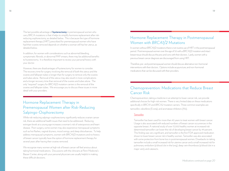The last possible advantage of **hysterectomy** in premenopausal women who carry BRCA mutations is that it helps to simplify hormone replacement after riskreducing oophorectomy, as detailed below. This is because the type of hormone replacement therapy (HRT) prescribed for premenopausal women who have had their ovaries removed depends on whether a woman still has her uterus, as detailed below.

In addition, for women with considerations such as abnormal bleeding, symptomatic fibroids, or abnormal PAP smears, there may be additional benefits to hysterectomy. It is therefore important to review your personal history with your doctor.

However, there are disadvantages of hysterectomy for women to consider. The recovery time for surgery involving the removal of both the uterus and the ovaries and fallopian tubes is longer than for surgery to remove only the ovaries and tubes alone. Removal of the uterus may also result in more complications and a longer recovery time than removal of the ovaries and tubes alone. The only "required" surgery for *BRCA1/2* mutation carriers is the removal of the ovaries and fallopian tubes. We encourage you to discuss these issues in more detail with your providers.

## Hormone Replacement Therapy in Premenopausal Women after Risk-Reducing Salpingo-Oophorectomy

While risk-reducing salpingo-oophorectomy significantly reduces ovarian cancer risk, there are additional health issues that need to be addressed. Reducing estrogen levels at a young age increases a woman's risk of osteoporosis and heart disease. Post-surgery, some women may also experience menopausal symptoms such as hot flashes, vaginal dryness, mood swings, and sleep disturbances. To help address menopausal symptoms, women with *BRCA1/2* mutations and no history of breast cancer typically have the option of hormone replacement therapy for several years after having their ovaries removed.

We recognize many women at high risk of breast cancer will feel anxious about taking hormonal medications. Discussions with the clinicians at Penn Medicine's Basser Center, along with your personal physicians are usually helpful in making these difficult decisions.

## Hormone Replacement Therapy in Postmenopausal Women with *BRCA1/2* Mutations

In women without *BRCA1/2* mutations there is not routine use of HRT in the postmenopausal period. Postmenopausal women over the age of 50 with a *BRCA1/2* mutation and intact breast tissue should discuss the pros and cons with their doctors. Lastly, women with a previous breast cancer diagnosis are discouraged from using HRT.

Therefore, pre- and postmenopausal women should discuss alternative non-hormonal interventions with their doctors. Options include acupuncture, and non-hormonal medications that can be discussed with their providers.

## Chemoprevention: Medications that Reduce Breast Cancer Risk

Chemoprevention, taking a medicine in an attempt to lower cancer risk, can provide additional choices for high-risk women. There is very limited data on these medications specifically in *BRCA1* and *BRCA2* mutation carriers. Three common examples are tamoxifen, raloxifene (Evista), and aromatase inhibitors (AIs).

#### Tamoxifen

Tamoxifen has been used for more than 40 years to treat women with breast cancer. Usage is also associated with reduced numbers of breast cancer occurrences in the opposite breast. A national study of over 13,000 healthy women at increased risk determined tamoxifen can lower the risk of developing breast cancer by 49 percent. This finding was very significant, and tamoxifen is the first FDA approved medication shown to lower breast cancer risk in healthy women. Tamoxifen was also associated with some protection from bone loss in postmenopausal women. Drawbacks to taking tamoxifen include a small increased risk for uterine cancer and a small increased risk for pulmonary embolism (a blood clot in the lung), deep vein thrombosis (a blood clot in a major vein), and cataracts.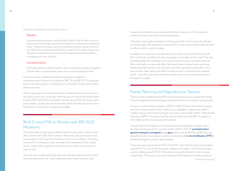#### *Raloxifene, Medications continued from page 19*

#### Raloxifene

In postmenopausal women, raloxifene (also called Evista) has been shown to decrease the risk of breast cancer and to benefit bone density and cholesterol levels. Therefore, this option can be an excellent choice for women with bone loss. Raloxifene is not associated with an increased risk for uterine cancer. Like tamoxifen, raloxifene has risks that must be weighed against the benefits in consultation with your physician.

#### Aromatase Inhibitors

Aromatase inhibitors (AIs) are another class of medications being investigated for their ability to reduce breast cancer risk in post-menopausal women.

In the future, there will likely be additional medications available for chemoprevention in those with mutations in *BRCA1* and *BRCA2*. It is important to know all current options, including the risks and benefits of each option before making a decision.

When a new medicine for chemoprevention is tested to determine how much it can reduce cancer risk, it is typically offered as part of a clinical trial. People found to have a *BRCA1/2* mutation should be informed about all the chemoprevention trials available, including the risks and benefits, before deciding about this option. Participation in these trials is strongly encouraged.

## Birth Control Pills in Women with *BRCA1/2* Mutations

There have been several studies published examining the safety of birth control pills in women with a *BRCA1/2* mutation. Birth control pills, also known as oral contraceptives, work in part by preventing a woman from ovulating. Preventing a woman from ovulating is usually associated with a decreased risk for ovarian cancer. Some studies suggest the risk reduction for ovarian cancer can be as much as 50%.

There are some conflicting findings about the association between birth control pills and breast cancer risk. Some studies have shown there may be a small

increased risk of breast cancer associated with these medications. More research is underway to help answer these important questions.

Ultimately, balancing the potential risk of breast cancer (for which we do have effective screening) against the significantly reduced risk for ovarian cancer and the potential need for effective birth control is complex.

In addition, it is important to consider the other benefits and risks of birth control pills. Birth control pills can effectively prevent pregnancy when taken as instructed. They may also help regulate the menstrual cycle, reduce menstrual cramps, and lighten periods. Birth control pills can cause side effects like altered levels of sexual desire, spotting or bleeding between periods, and sore breasts, but these generally go away after two to three months. Rare, serious side effects of birth control include blood clots and heart attack. Given the wide range of benefits and risks, discussion on an individual basis is strongly encouraged.

## Family Planning and Reproductive Options

There are some considerations for BRCA carriers planning to start or expand their family. Decisions regarding family planning are very personal; there is no wrong or right approach.

A man or woman who has a mutation in *BRCA1* or *BRCA2* has a 50% chance of passing down the mutation to each of their children (son or daughter). A parent with a BRCA mutation may pass the mutation along to one, some or none of their children. Many families with a known BRCA mutation accept the 50% risk of passing on the BRCA mutation to their children and do not pursue any interventions.

Couples also have the option to consider reproductive technologies to greatly reduce the chance of passing a known mutation to their children. PGT-M (**preimplantation genetic testing for monogenic**/single **gene** defects such as *BRCA1* and *BRCA2*) can be performed prior to a pregnancy used in combination with **in vitro fertilization (IVF)** to test fertilized eggs for a specific gene mutation.

There are several steps involved in PGT-M and IVF. One of the first steps in being able to consider PGT-M is to identify the genetic mutation in the parent. One of the next steps involves creating a specific PGT-M test probe at a specialty laboratory which is unique to each family. This process may involve obtaining DNA samples from other members in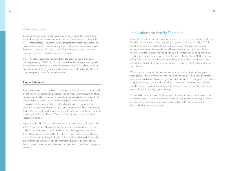#### *Continued from page 21*

the family. Once the eggs are fertilized, they will be tested to determine which of the fertilized eggs do not have the gene mutation. This is done using the specific PGT-M test created for your family and once tested, the fertilized eggs that do not have the gene mutation can then be implanted. This process is not always straightforward and it can be useful to discuss this further with genetic counselors with specialized expertise in reproductive genetic testing.

PGT-M does not guarantee transferred fertilized eggs will lead to a full-term, healthy pregnancy. PGT-M and IVF can be costly and coverage can vary greatly depending on insurance plan. Those who are interested in PGT-M may discuss it in greater detail with their genetics providers and may be referred to a fertility clinic specializing in this service for more information.

### Fanconi Anemia

Fanconi Anemia is a rare condition, occurring in 1 in 360,000 births, characterized by skeletal differences including underdeveloped or absent thumbs, short stature, developmental delay, bone marrow failure (inability to make red and white blood cells as well as platelets), and risk for blood and non-blood related cancers. Symptoms may be present at birth, or in early childhood, and signs of bone marrow failure are often present by ages 7 or 8. Inheriting two *BRCA2* mutations (a *BRCA2* gene mutation from mother and a *BRCA2* gene mutation from father) is one cause of Fanconi Anemia. This type of inheritance is called autosomal recessive inheritance.

A person with a *BRCA2* mutation has about a 1 in 1,200 chance of having a child with Fanconi Anemia. This is based on the general population chance of having a *BRCA2* mutation (1 in 300) and the chance that if both parents are carriers, they will have an affected child (1 in 4). If there is reason to believe your chances are significantly higher than this, then it will be individually discussed. Those who are concerned about risks for conditions affecting future children may benefit from consultation with a prenatal genetics program around the time of pregnancy planning.

## Implications for Family Members

Hereditary breast and ovarian cancer syndrome can be passed down through the family by both men and women. There is a 50% (1 in 2) chance that a person with a BRCA mutation will pass the mutation to each of their children. This is called autosomal dominant inheritance. Testing relatives will determine whether or not they inherited the BRCA mutation. Relatives who do not have the mutation and who do not have a significant family history of cancer on the other side of their family are NOT at increased risk for BRCA-associated cancers and would only need to follow cancer surveillance recommendations for the general population, and cannot pass the family mutation on to their children.

We strongly encourage individuals to share information about their positive genetic testing result with other female and male relatives (including children, siblings, parents, aunts/uncles, and cousins) given its significance for their health. Often genetic counselors can provide resources such as a letter to help share your results with relatives. Family members will need a copy of your genetic test report (listing your specific mutation) in order to have their testing properly arranged.

Learning about the presence of an inherited mutation that increases risk for cancer can also possibly impact family relationships. While we strongly encourage people to share genetic testing information with relatives, ultimately each family member will need to choose whether or not to be tested.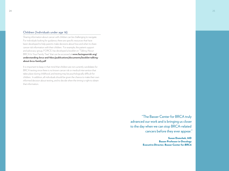## Children (Individuals under age 18)

Sharing information about cancer with children can be challenging to navigate. For individuals looking for guidance, there are specific resources that have been developed to help parents make decisions about how and when to share cancer risk information with their children. For example, the patient support and advocacy group, FORCE, has developed a booklet on "Talking About BRCA In Your Family Tree" that can be accessed at **www.facingourrisk.org/ understanding-brca-and-hboc/publications/documents/booklet-talkingabout-brca-family.pdf**

It is important to keep in that mind that children are not currently candidates for BRCA testing since there is no known cancer risk or medical intervention that takes place during childhood, and testing may be psychologically difficult for children. In addition, all individuals should be given the chance to make their own informed decision about testing, and to decide when the timing is right to obtain that information.

> "The Basser Center for BRCA truly advanced our work and is bringing us closer to the day when we can stop BRCA-related cancers before they ever appear."

> > Susan Domchek, MD Basser Professor in Oncology Executive Director, Basser Center for *BRCA*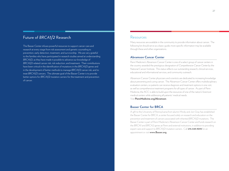## Future of *BRCA1/2* Research

The Basser Center infuses powerful resources to support cancer care and research at every stage from risk assessment and genetic counseling to prevention, early detection, treatment, and survivorship. We are very grateful to the families who have participated in research studies aimed at understanding *BRCA1/2*, as they have made it possible to advance our knowledge of *BRCA1/2*-related cancer risk, risk reduction, and treatment. Their contributions have been critical in the identification of mutations in the *BRCA1/2* genes and in the development of better methods to manage *BRCA1/2* cancer risk, and to treat *BRCA1/2* cancers. The ultimate goal of the Basser Center is to provide better options for *BRCA1/2* mutation carriers for the treatment and prevention of cancer.

## Resources

Many resources are available in the community to provide information about cancer. The following list should serve as a basic guide; more specific information may be available through these and other organizations.

### **Abramson Cancer Center**

Penn Medicine's Abramson Cancer Center is one of a select group of cancer centers in the country awarded the prestigious designation of *Comprehensive Cancer Center* by the National Cancer Institute. This status reflects our outstanding research, clinical services, educational and informational services, and community outreach.

Abramson Cancer Center physicians and scientists are dedicated to increasing knowledge about preventing and curing cancer. The Abramson Cancer Center offers multidisciplinary evaluation centers, so patients can receive diagnosis and treatment options in one visit, as well as comprehensive treatment programs for all types of cancer. As part of Penn Medicine, the ACC is able to build upon the resources of one of the nation's foremost medical centers while addressing all patients' medical needs.

Visit **PennMedicine.org/Abramson**.

## **Basser Center for BRCA**

A gift to the University of Pennsylvania from alumni Mindy and Jon Gray has established the Basser Center for BRCA, a center focused solely on research and education on the prevention and treatment of cancers associated with inherited *BRCA1/2* mutations. The Basser Center is part of Penn Medicine's Abramson Cancer Center and funds research on the *BRCA1* and *BRCA2* genes at Penn and external institutions, in addition to providing expert care and support to *BRCA1/2* mutation carriers. Call **215.349.9093** for an appointment or visit **www.Basser.org**.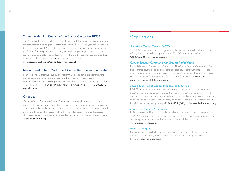## **Young Leadership Council of the Basser Center for BRCA**

The Young Leadership Council of the Basser Center for BRCA serves as a forum for young adults to become more engaged with the mission of the Basser Center, stay informed about the latest advances in BRCA-related cancer research, and advocate and raise awareness of the Center. Through personal philanthropy and fundraising events, this committed group supports innovative BRCA-related cancer research, patient care, and educational priorities. Contact Carolyn Brown at **215.573.0550** to get involved or visit

**www.basser.org/about-us/young-leadership-council**.

### **Mariann and Robert MacDonald Cancer Risk Evaluation Center**

Penn Medicine's Cancer Risk Evaluation Program (CREP) is a clinical service for anyone who wants more information about personal risk for breast and ovarian cancer. This program offers genetic counseling and testing, and follow-up care for those at high risk. For more information, call **1.800.789.PENN (7366)** or **215.349.9093** or visit **PennMedicine. org/Abramson**.

### **OncoLink®**

OncoLink® is the Abramson Cancer Center's award-winning Internet resource. It contains information about all aspects of cancer, the latest treatments, research advances, clinical trials, and related issues. OncoLink has a section dedicated to complementary and alternative therapies where users can find the latest information, as well as the research discoveries related to complementary therapies and cancer. For more information, please visit **www.oncolink.org**.

## **Organizations**

### *American Cancer Society (ACS)*

The ACS is a national, non-profit organization that supports research and educational efforts, as well as many local support groups. The ACS can be reached at **1.800.ACS.2345** or **www.cancer.org**.

### *Cancer Support Community of Greater Philadelphia*

Formerly known as The Wellness Community, The Cancer Support Community offers free of charge psychological and emotional support, educational workshops, exercise, stress management and social activities for people with cancer and their families. Please check the locations (Philadelphia and Bucks County Branches): **215.879.7744** or **www.cancersupportphiladelphia.org**.

## *Facing Our Risk of Cancer Empowered (FORCE)*

FORCE provides support, education, and awareness to help those facing hereditary breast, ovarian, and related cancers know their health care options and make informed decisions. This well-known and respected organization has helped guide critical research and policy issues that impact the hereditary breast cancer and ovarian cancer community. FORCE can be reached by calling **866.288.RISK (7475)** or visit **www.facingourrisk.org**.

### *HIS Breast Cancer Awareness*

HIS was co-founded by a brother and sister who are both breast cancer survivors and carry a *BRCA2* gene mutation. The organization aims to inform, educate, bring awareness and help with prevention and assist those diagnosed with male breast cancer. **www.hisbreastcancer.org**.

#### *Imerman Angels*

Imerman Angels provides free personalized one-on-one support for cancer fighters, survivors, and caregivers, as well as people at a high risk for developing cancer. Please visit **imermanangels.org**.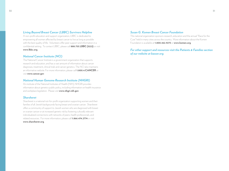## *Living Beyond Breast Cancer (LBBC) Survivors Helpline*

A non-profit education and support organization, LBBC is dedicated to empowering all women affected by breast cancer to live as long as possible with the best quality of life. Volunteers offer peer support and information in a confidential setting. To contact LBBC, please call **888.753.LBBC (5222)** or visit **www.lbbc.org**.

### *National Cancer Institute (NCI)*

The National Cancer Institute is a government organization that supports research and education, and has a vast amount of information about cancer diagnoses, treatment, clinical trials and cancer genetics. The NCI also maintains an informative website. For more information, please call **1.800.4.CANCER** or visit **www.cancer.gov**.

### *National Human Genome Research Institute (NHGRI)*

An institute of the National Institutes of Health (NIH), NHGRI provides information about genetics public policy, including information on health insurance and workplace legislation. Please visit **www.nhgri.nih.gov**.

### *Sharsheret*

Sharsheret is a national not-for-profit organization supporting women and their families of all Jewish backgrounds facing breast and ovarian cancer. Sharsheret offers a community of support to Jewish women who are diagnosed with breast or ovarian cancer or at increased genetic risk by fostering culturally relevant individualized connections with networks of peers, health professionals, and related resources. For more information, please call **1.866.474.2774** or visit **www.sharsheret.org**.

## *Susan G. Komen Breast Cancer Foundation*

This national organization sponsors research, education and the annual "Race for the Cure" held in many cities across the country. More information about the Komen Foundation is available at **1.800.462.9273** or **www.komen.org**.

*For other support and resources visit the Patients & Families section of our website at basser.org.*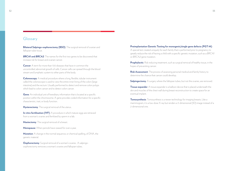## Glossary

**Bilateral Salpingo-oophorectomy (BSO)**: The surgical removal of ovarian and fallopian tube tissue.

*BRCA1* **and** *BRCA2*: The names for the first two genes to be discovered that increase risk for breast and ovarian cancer.

**Cancer**: A term for more than 100 diseases that have in common the uncontrolled, abnormal growth of cells. Cancer cells can spread through the blood stream and lymphatic system to other parts of the body.

**Colonoscopy**: A medical procedure where a long, flexible, tubular instrument called the colonoscope is used to view the entire inner lining of the colon (large intestine) and the rectum. Usually performed to detect and remove colon polyps which lead to colon cancer and to detect colon cancer.

**Gene**: An individual unit of hereditary information that is located at a specific position within the chromosome. A gene provides coded information for a specific characteristic, trait, or body function.

**Hysterectomy**: The surgical removal of the uterus.

**In vitro fertilization (IVF)**: A procedure in which mature eggs are retrieved from a woman's ovaries and fertilized by sperm in a lab.

**Mastectomy**: The surgical removal of a breast.

**Menopause**: When periods have ceased for over a year.

**Mutation**: A change in the normal sequence, or chemical spelling, of DNA, the genetic material.

**Oophorectomy**: Surgical removal of a woman's ovaries. A salpingooophorectomy removes a woman's ovaries and fallopian tubes.

**Preimplantation Genetic Testing for monogenic/single gene defects (PGT-M)**: A special test created uniquely for each family that is performed prior to pregnancy to greatly reduce the risk of having a child with a specific genetic mutation, such as a *BRCA1* or *BRCA2* gene mutation.

**Prophylactic**: Risk reducing treatment, such as surgical removal of healthy tissue, in the hopes of preventing cancer.

**Risk Assessment**: The process of assessing personal medical and family history to determine the chance that cancer could develop.

**Salpingectomy**: A surgery where the fallopian tubes, but not the ovaries, are removed.

**Tissue expander**: A tissue expander is a balloon device that is placed underneath the skin and muscles of the chest wall during breast reconstruction to create space for an eventual implant.

**Tomosynthesis**: Tomosynthesis is a newer technology for imaging breasts. Like a mammogram, it is a low-dose X-ray but renders a 3-dimensional (3D) image instead of a 2-dimensional one.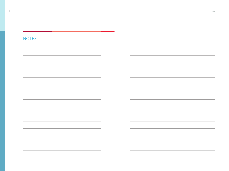## NOTES

an kalendar

,我们也不能在这里,我们也不能会在这里,我们也不能会在这里,我们也不能会在这里,我们也不能会在这里,我们也不能会在这里,我们也不能会不能会不能会。""我们,我们

 $\overline{\phantom{a}}$ 

 $\overline{\phantom{0}}$ 

÷.

 $\overline{\phantom{a}}$